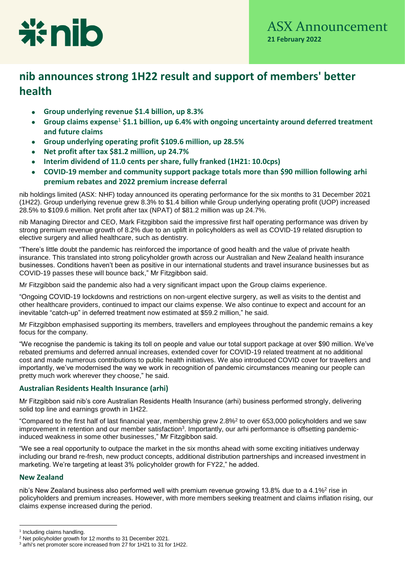

# **nib announces strong 1H22 result and support of members' better health**

- **Group underlying revenue \$1.4 billion, up 8.3%**
- **Group claims expense**<sup>1</sup> **\$1.1 billion, up 6.4% with ongoing uncertainty around deferred treatment and future claims**
- **Group underlying operating profit \$109.6 million, up 28.5%**
- **Net profit after tax \$81.2 million, up 24.7%**
- **Interim dividend of 11.0 cents per share, fully franked (1H21: 10.0cps)**
- **COVID-19 member and community support package totals more than \$90 million following arhi premium rebates and 2022 premium increase deferral**

nib holdings limited (ASX: NHF) today announced its operating performance for the six months to 31 December 2021 (1H22). Group underlying revenue grew 8.3% to \$1.4 billion while Group underlying operating profit (UOP) increased 28.5% to \$109.6 million. Net profit after tax (NPAT) of \$81.2 million was up 24.7%.

nib Managing Director and CEO, Mark Fitzgibbon said the impressive first half operating performance was driven by strong premium revenue growth of 8.2% due to an uplift in policyholders as well as COVID-19 related disruption to elective surgery and allied healthcare, such as dentistry.

"There's little doubt the pandemic has reinforced the importance of good health and the value of private health insurance. This translated into strong policyholder growth across our Australian and New Zealand health insurance businesses. Conditions haven't been as positive in our international students and travel insurance businesses but as COVID-19 passes these will bounce back," Mr Fitzgibbon said.

Mr Fitzgibbon said the pandemic also had a very significant impact upon the Group claims experience.

"Ongoing COVID-19 lockdowns and restrictions on non-urgent elective surgery, as well as visits to the dentist and other healthcare providers, continued to impact our claims expense. We also continue to expect and account for an inevitable "catch-up" in deferred treatment now estimated at \$59.2 million," he said.

Mr Fitzgibbon emphasised supporting its members, travellers and employees throughout the pandemic remains a key focus for the company.

"We recognise the pandemic is taking its toll on people and value our total support package at over \$90 million. We've rebated premiums and deferred annual increases, extended cover for COVID-19 related treatment at no additional cost and made numerous contributions to public health initiatives. We also introduced COVID cover for travellers and importantly, we've modernised the way we work in recognition of pandemic circumstances meaning our people can pretty much work wherever they choose," he said.

# **Australian Residents Health Insurance (arhi)**

Mr Fitzgibbon said nib's core Australian Residents Health Insurance (arhi) business performed strongly, delivering solid top line and earnings growth in 1H22.

"Compared to the first half of last financial year, membership grew 2.8%<sup>2</sup> to over 653,000 policyholders and we saw improvement in retention and our member satisfaction<sup>3</sup>. Importantly, our arhi performance is offsetting pandemicinduced weakness in some other businesses," Mr Fitzgibbon said.

"We see a real opportunity to outpace the market in the six months ahead with some exciting initiatives underway including our brand re-fresh, new product concepts, additional distribution partnerships and increased investment in marketing. We're targeting at least 3% policyholder growth for FY22," he added.

# **New Zealand**

nib's New Zealand business also performed well with premium revenue growing 13.8% due to a 4.1%² rise in policyholders and premium increases. However, with more members seeking treatment and claims inflation rising, our claims expense increased during the period.

 $\overline{a}$ <sup>1</sup> Including claims handling.

<sup>2</sup> Net policyholder growth for 12 months to 31 December 2021.

<sup>&</sup>lt;sup>3</sup> arhi's net promoter score increased from 27 for 1H21 to 31 for 1H22.